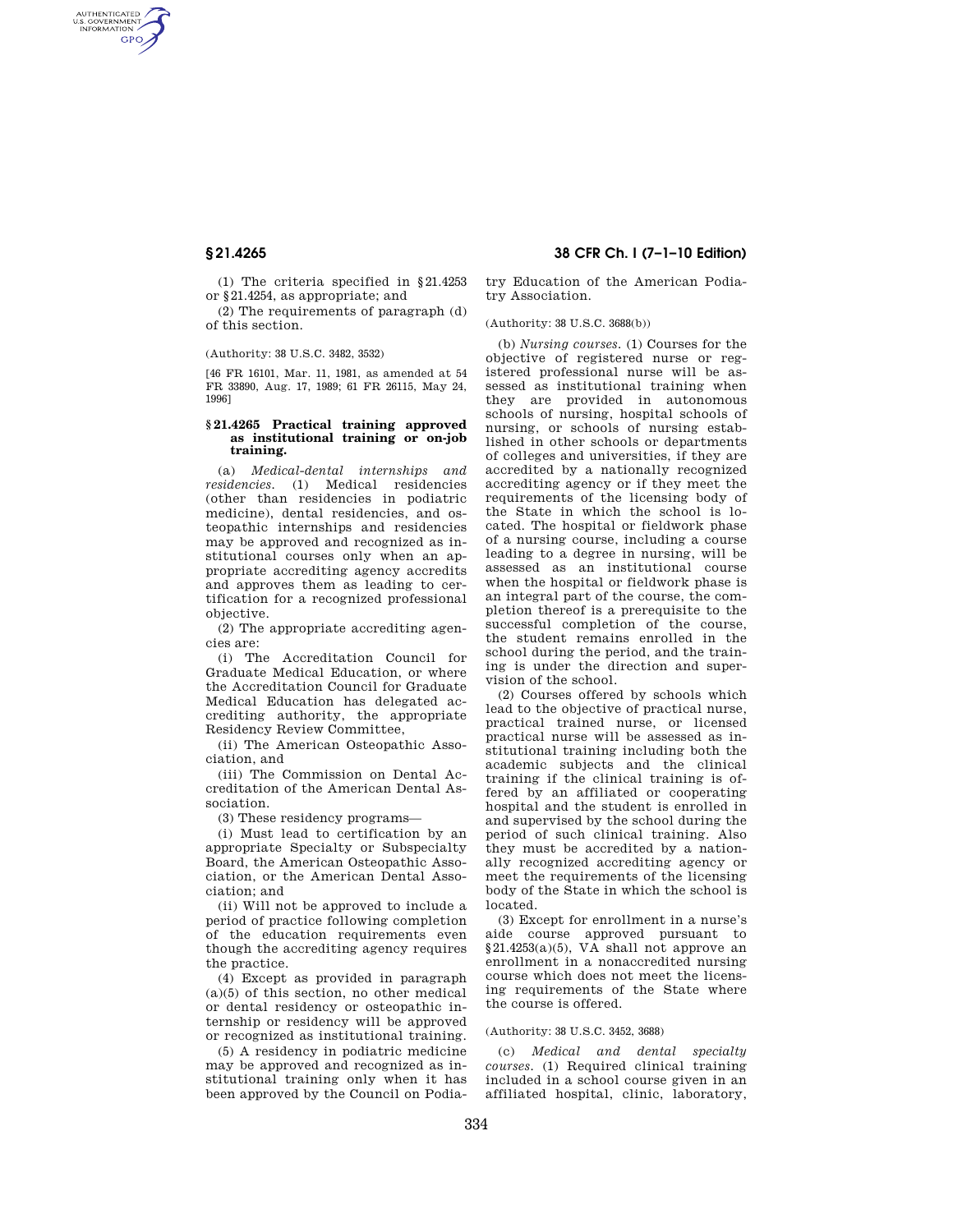AUTHENTICATED<br>U.S. GOVERNMENT<br>INFORMATION GPO

> (1) The criteria specified in §21.4253 or §21.4254, as appropriate; and

(2) The requirements of paragraph (d) of this section.

### (Authority: 38 U.S.C. 3482, 3532)

[46 FR 16101, Mar. 11, 1981, as amended at 54 FR 33890, Aug. 17, 1989; 61 FR 26115, May 24, 1996]

# **§ 21.4265 Practical training approved as institutional training or on-job training.**

(a) *Medical-dental internships and residencies.* (1) Medical residencies (other than residencies in podiatric medicine), dental residencies, and osteopathic internships and residencies may be approved and recognized as institutional courses only when an appropriate accrediting agency accredits and approves them as leading to certification for a recognized professional objective.

(2) The appropriate accrediting agencies are:

(i) The Accreditation Council for Graduate Medical Education, or where the Accreditation Council for Graduate Medical Education has delegated accrediting authority, the appropriate Residency Review Committee,

(ii) The American Osteopathic Association, and

(iii) The Commission on Dental Accreditation of the American Dental Association.

(3) These residency programs—

(i) Must lead to certification by an appropriate Specialty or Subspecialty Board, the American Osteopathic Association, or the American Dental Association; and

(ii) Will not be approved to include a period of practice following completion of the education requirements even though the accrediting agency requires the practice.

(4) Except as provided in paragraph (a)(5) of this section, no other medical or dental residency or osteopathic internship or residency will be approved or recognized as institutional training.

(5) A residency in podiatric medicine may be approved and recognized as institutional training only when it has been approved by the Council on Podia-

**§ 21.4265 38 CFR Ch. I (7–1–10 Edition)** 

try Education of the American Podiatry Association.

(Authority: 38 U.S.C. 3688(b))

(b) *Nursing courses.* (1) Courses for the objective of registered nurse or registered professional nurse will be assessed as institutional training when they are provided in autonomous schools of nursing, hospital schools of nursing, or schools of nursing established in other schools or departments of colleges and universities, if they are accredited by a nationally recognized accrediting agency or if they meet the requirements of the licensing body of the State in which the school is located. The hospital or fieldwork phase of a nursing course, including a course leading to a degree in nursing, will be assessed as an institutional course when the hospital or fieldwork phase is an integral part of the course, the completion thereof is a prerequisite to the successful completion of the course, the student remains enrolled in the school during the period, and the training is under the direction and supervision of the school.

(2) Courses offered by schools which lead to the objective of practical nurse, practical trained nurse, or licensed practical nurse will be assessed as institutional training including both the academic subjects and the clinical training if the clinical training is offered by an affiliated or cooperating hospital and the student is enrolled in and supervised by the school during the period of such clinical training. Also they must be accredited by a nationally recognized accrediting agency or meet the requirements of the licensing body of the State in which the school is located.

(3) Except for enrollment in a nurse's aide course approved pursuant to  $§21.4253(a)(5)$ , VA shall not approve an enrollment in a nonaccredited nursing course which does not meet the licensing requirements of the State where the course is offered.

## (Authority: 38 U.S.C. 3452, 3688)

(c) *Medical and dental specialty courses.* (1) Required clinical training included in a school course given in an affiliated hospital, clinic, laboratory,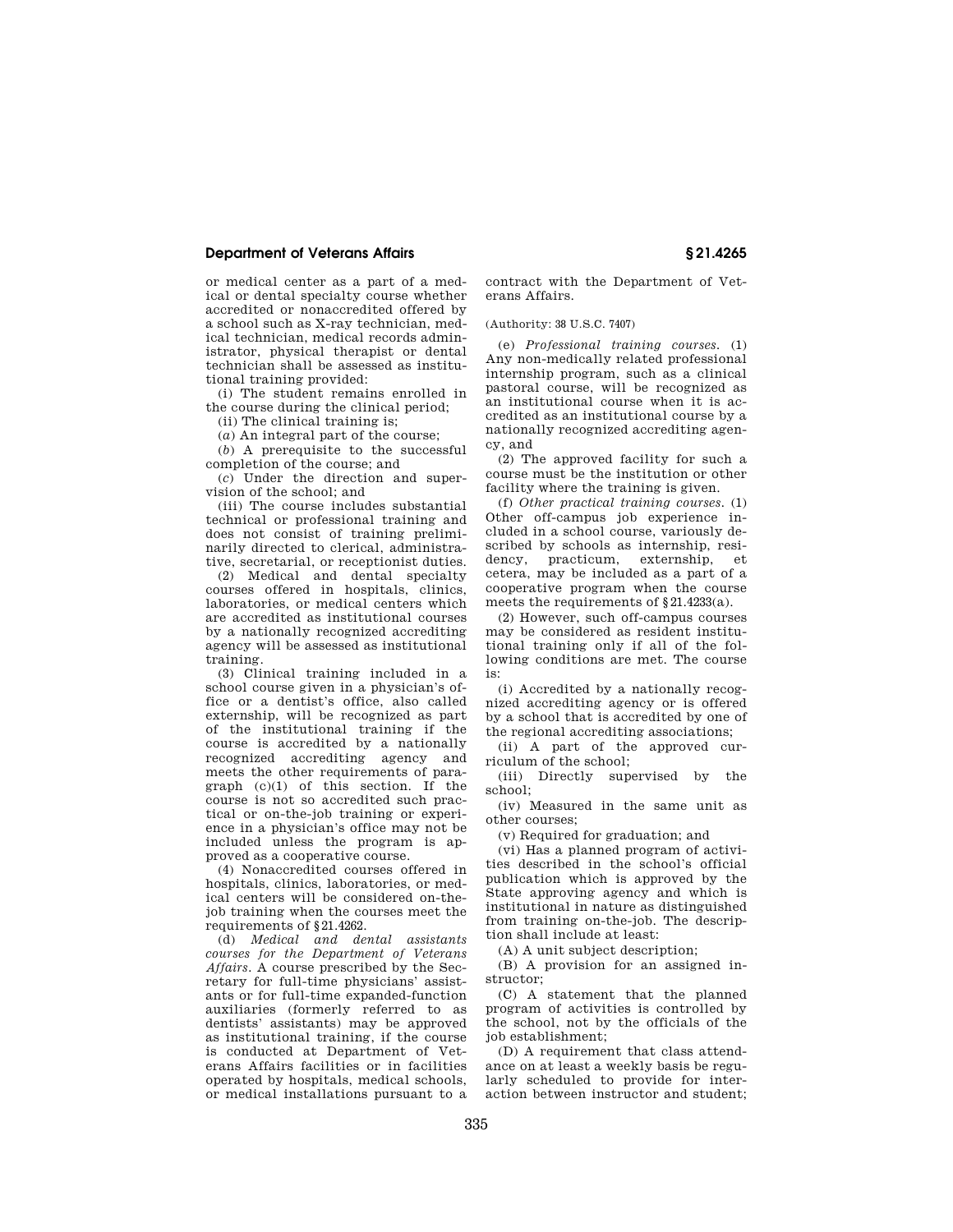# **Department of Veterans Affairs § 21.4265**

or medical center as a part of a medical or dental specialty course whether accredited or nonaccredited offered by a school such as X-ray technician, medical technician, medical records administrator, physical therapist or dental technician shall be assessed as institutional training provided:

(i) The student remains enrolled in the course during the clinical period;

(ii) The clinical training is;

(*a*) An integral part of the course;

(*b*) A prerequisite to the successful completion of the course; and

(*c*) Under the direction and supervision of the school; and

(iii) The course includes substantial technical or professional training and does not consist of training preliminarily directed to clerical, administrative, secretarial, or receptionist duties.

(2) Medical and dental specialty courses offered in hospitals, clinics, laboratories, or medical centers which are accredited as institutional courses by a nationally recognized accrediting agency will be assessed as institutional training.

(3) Clinical training included in a school course given in a physician's office or a dentist's office, also called externship, will be recognized as part of the institutional training if the course is accredited by a nationally recognized accrediting agency and meets the other requirements of paragraph  $(c)(1)$  of this section. If the course is not so accredited such practical or on-the-job training or experience in a physician's office may not be included unless the program is approved as a cooperative course.

(4) Nonaccredited courses offered in hospitals, clinics, laboratories, or medical centers will be considered on-thejob training when the courses meet the requirements of §21.4262.

(d) *Medical and dental assistants courses for the Department of Veterans Affairs.* A course prescribed by the Secretary for full-time physicians' assistants or for full-time expanded-function auxiliaries (formerly referred to as dentists' assistants) may be approved as institutional training, if the course is conducted at Department of Veterans Affairs facilities or in facilities operated by hospitals, medical schools, or medical installations pursuant to a

contract with the Department of Veterans Affairs.

(Authority: 38 U.S.C. 7407)

(e) *Professional training courses.* (1) Any non-medically related professional internship program, such as a clinical pastoral course, will be recognized as an institutional course when it is accredited as an institutional course by a nationally recognized accrediting agency, and

(2) The approved facility for such a course must be the institution or other facility where the training is given.

(f) *Other practical training courses.* (1) Other off-campus job experience included in a school course, variously described by schools as internship, residency, practicum, externship, et cetera, may be included as a part of a cooperative program when the course meets the requirements of §21.4233(a).

(2) However, such off-campus courses may be considered as resident institutional training only if all of the following conditions are met. The course is:

(i) Accredited by a nationally recognized accrediting agency or is offered by a school that is accredited by one of the regional accrediting associations;

(ii) A part of the approved curriculum of the school;

(iii) Directly supervised by the school;

(iv) Measured in the same unit as other courses;

(v) Required for graduation; and

(vi) Has a planned program of activities described in the school's official publication which is approved by the State approving agency and which is institutional in nature as distinguished from training on-the-job. The description shall include at least:

(A) A unit subject description;

(B) A provision for an assigned instructor;

(C) A statement that the planned program of activities is controlled by the school, not by the officials of the job establishment;

(D) A requirement that class attendance on at least a weekly basis be regularly scheduled to provide for interaction between instructor and student;